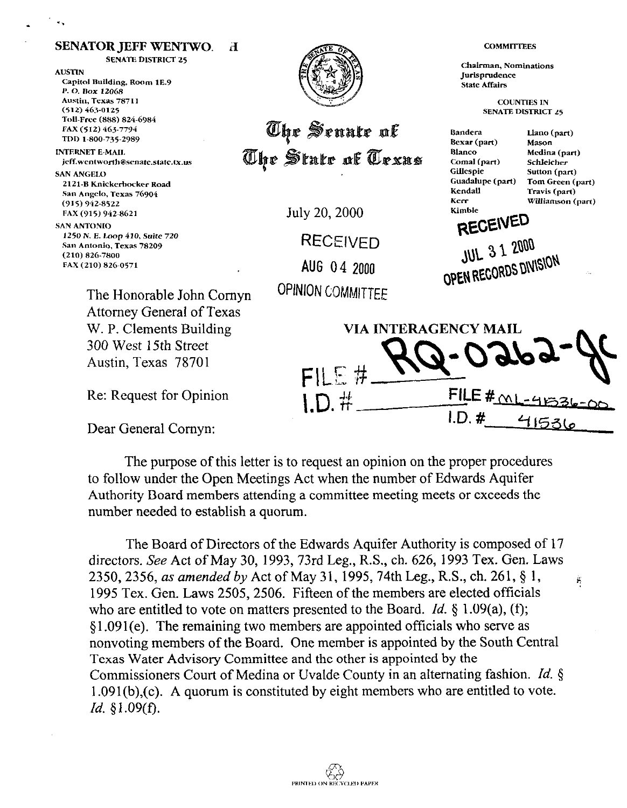**SENATE DISTRICT 25** Chairman, Nominations **AUSTIN** Jurisprudence Capitol Building, Room 1E.9 **State Affairs** P.O. Box 12068 Austin, Texas 78711 **COUNTIES IN**  $(512) 463 - 0125$ **SENATE DISTRICT 25** Toll-Free (888) 824-6984 The Senate of FAX (512) 463-7794 Bandera Llano (part) TDD 1-800-735-2989 Bexar (part) Mason **INTERNET E-MAIL** The State of Texas **Blanco** Medina (part) jeff.wentworth@senate.state.tx.us Comal (part) Schleicher Gillespie Sutton (part) **SAN ANGELO** Tom Green (part) Guadalupe (part) 2121-B Knickerbocker Road Kendall Travis (part) San Angelo, Texas 76904 Kerr Williamson (part)  $(915)$  942-8522 July 20, 2000 Kimble FAX (915) 942-8621 RECEIVED **SAN ANTONIO** 1250 N. E. Loop 410, Suite 720 RECEIVED **JUL 3 1 2000 (210) 826-7800**  OPEN RECORDS DIVISION **FAX (210) 8'26~0571 AUG** 04 2000 The Honorable John Comyn **OPINION COMMITTEE**  Attorney General of Texas W. P. Clements Building VIA INTERAGENCY MAIL 300 West 15th Street Austin, Texas 78701  $FILE#$ FILE  $#_{\cap}$ Re: Request for Opinion  $1.D.$ #

Dear General Comyn:

**SENATOR JEFF WENTWO.** 

 $\mathbf{H}$ 

The purpose of this letter is to request an opinion on the proper procedures to follow under the Open Meetings Act when the number of Edwards Aquifer Authority Board members attending a committee meeting meets or exceeds the number needed to establish a quorum.

**I.D. #\_\_\_\_\_\_41531** 

**COMMITTEES** 

The Board of Directors of the Edwards Aquifer Authority is composed of 17 directors. See Act of May 30, 1993, 73rd Leg., R.S., ch. 626, 1993 Tex. Gen. Laws *2350, 2356, as amended by Act of May 31, 1995, 74th Leg., R.S., ch. 261, § 1,*  $\frac{1}{2}$ 1995 Tex. Gen. Laws 2505,2506. Fifteen of the members are elected officials who are entitled to vote on matters presented to the Board. *Id. \$* 1.09(a), (f);  $§1.091(e)$ . The remaining two members are appointed officials who serve as nonvoting members of the Board. One member is appointed by the South Central Texas Water Advisory Committee and the other is appointed by the Commissioners Court of Medina or Uvalde County in an alternating fashion. *Id.*  $\S$ 1.09 1 (b),(c). A quorum is constituted by eight members who are entitled to vote. *Id, \$1.09(f).*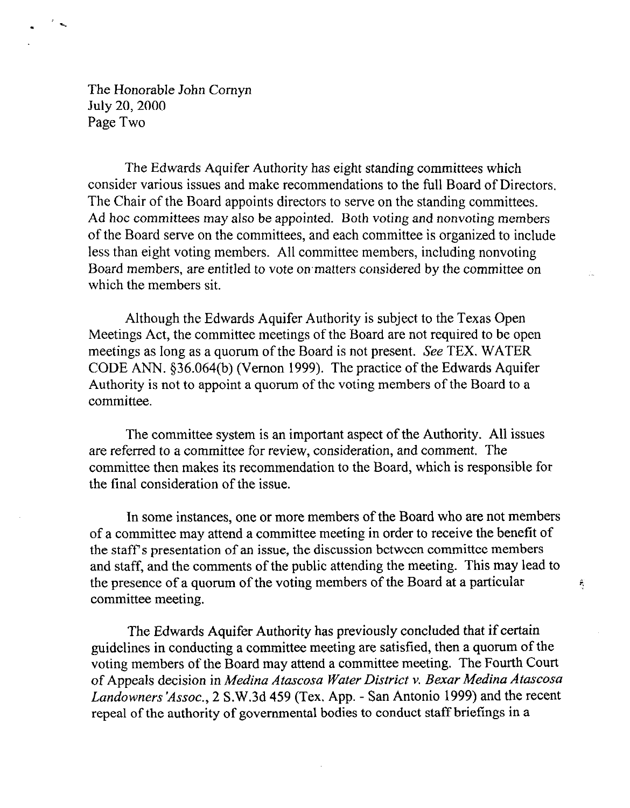The Honorable John Comyn July 20, 2000 Page Two

The Edwards Aquifer Authority has eight standing committees which consider various issues and make recommendations to the full Board of Directors. The Chair of the Board appoints directors to serve on the standing committees. Ad hoc committees may also be appointed. Both voting and nonvoting members of the Board serve on the committees, and each committee is organized to include less than eight voting members. All committee members, including nonvoting Board members, are entitled to vote on matters considered by the committee on which the members sit.

Although the Edwards Aquifer Authority is subject to the Texas Open Meetings Act, the committee meetings of the Board are not required to be open meetings as long as a quorum of the Board is not present. See TEX. WATER CODE ANN. \$36.064(b) (Vernon 1999). The practice of the Edwards Aquifer Authority is not to appoint a quorum of the voting members of the Board to a committee.

The committee system is an important aspect of the Authority. All issues are referred to a committee for review, consideration, and comment. The committee then makes its recommendation to the Board, which is responsible for the final consideration of the issue.

In some instances, one or more members of the Board who are not members of a committee may attend a committee meeting in order to receive the benefit of the staff's presentation of an issue, the discussion between committee members and staff, and the comments of the public attending the meeting. This may lead to the presence of a quorum of the voting members of the Board at a particular committee meeting.

 $\hat{\mathbf{r}}$ 

The Edwards Aquifer Authority has previously concluded that if certain guidelines in conducting a committee meeting are satisfied, then a quorum of the voting members of the Board may attend a committee meeting. The Fourth Court of Appeals decision in *Medina Atascosa Water District v. Bexar Medina Atascosa Landowners 'Assoc., 2* S.W.3d 459 (Tex. App. - San Antonio 1999) and the recent repeal of the authority of governmental bodies to conduct staff briefings in a